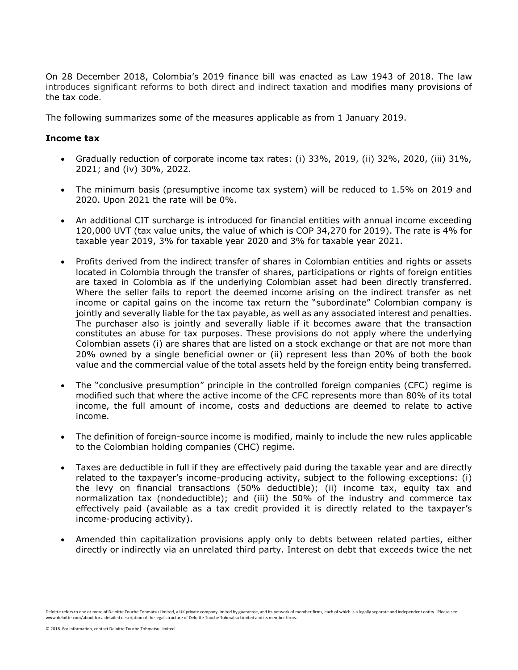On 28 December 2018, Colombia's 2019 finance bill was enacted as Law 1943 of 2018. The law introduces significant reforms to both direct and indirect taxation and modifies many provisions of the tax code.

The following summarizes some of the measures applicable as from 1 January 2019.

#### **Income tax**

- Gradually reduction of corporate income tax rates: (i) 33%, 2019, (ii) 32%, 2020, (iii) 31%, 2021; and (iv) 30%, 2022.
- The minimum basis (presumptive income tax system) will be reduced to 1.5% on 2019 and 2020. Upon 2021 the rate will be 0%.
- An additional CIT surcharge is introduced for financial entities with annual income exceeding 120,000 UVT (tax value units, the value of which is COP 34,270 for 2019). The rate is 4% for taxable year 2019, 3% for taxable year 2020 and 3% for taxable year 2021.
- Profits derived from the indirect transfer of shares in Colombian entities and rights or assets located in Colombia through the transfer of shares, participations or rights of foreign entities are taxed in Colombia as if the underlying Colombian asset had been directly transferred. Where the seller fails to report the deemed income arising on the indirect transfer as net income or capital gains on the income tax return the "subordinate" Colombian company is jointly and severally liable for the tax payable, as well as any associated interest and penalties. The purchaser also is jointly and severally liable if it becomes aware that the transaction constitutes an abuse for tax purposes. These provisions do not apply where the underlying Colombian assets (i) are shares that are listed on a stock exchange or that are not more than 20% owned by a single beneficial owner or (ii) represent less than 20% of both the book value and the commercial value of the total assets held by the foreign entity being transferred.
- The "conclusive presumption" principle in the controlled foreign companies (CFC) regime is modified such that where the active income of the CFC represents more than 80% of its total income, the full amount of income, costs and deductions are deemed to relate to active income.
- The definition of foreign-source income is modified, mainly to include the new rules applicable to the Colombian holding companies (CHC) regime.
- Taxes are deductible in full if they are effectively paid during the taxable year and are directly related to the taxpayer's income-producing activity, subject to the following exceptions: (i) the levy on financial transactions (50% deductible); (ii) income tax, equity tax and normalization tax (nondeductible); and (iii) the 50% of the industry and commerce tax effectively paid (available as a tax credit provided it is directly related to the taxpayer's income-producing activity).
- Amended thin capitalization provisions apply only to debts between related parties, either directly or indirectly via an unrelated third party. Interest on debt that exceeds twice the net

Deloitte refers to one or more of Deloitte Touche Tohmatsu Limited, a UK private company limited by guarantee, and its network of member firms, each of which is a legally separate and independent entity. Please see www.deloitte.com/about for a detailed description of the legal structure of Deloitte Touche Tohmatsu Limited and its member firms.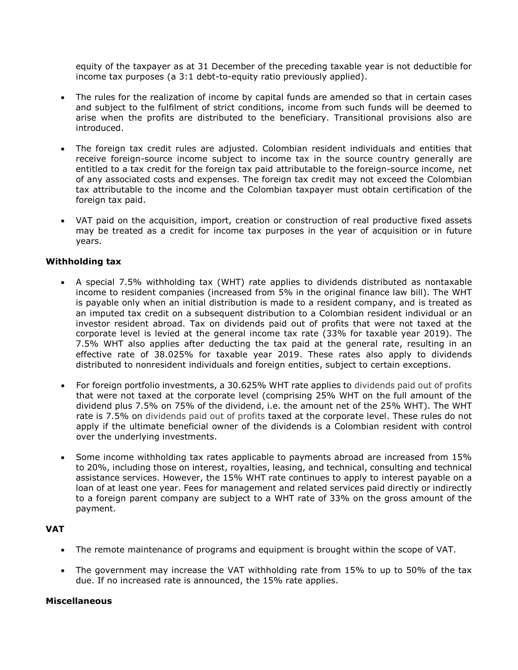equity of the taxpayer as at 31 December of the preceding taxable year is not deductible for income tax purposes (a 3:1 debt-to-equity ratio previously applied).

- The rules for the realization of income by capital funds are amended so that in certain cases and subject to the fulfilment of strict conditions, income from such funds will be deemed to arise when the profits are distributed to the beneficiary. Transitional provisions also are introduced.
- The foreign tax credit rules are adjusted. Colombian resident individuals and entities that receive foreign-source income subject to income tax in the source country generally are entitled to a tax credit for the foreign tax paid attributable to the foreign-source income, net of any associated costs and expenses. The foreign tax credit may not exceed the Colombian tax attributable to the income and the Colombian taxpayer must obtain certification of the foreign tax paid.
- VAT paid on the acquisition, import, creation or construction of real productive fixed assets may be treated as a credit for income tax purposes in the year of acquisition or in future years.

# **Withholding tax**

- A special 7.5% withholding tax (WHT) rate applies to dividends distributed as nontaxable income to resident companies (increased from 5% in the original finance law bill). The WHT is payable only when an initial distribution is made to a resident company, and is treated as an imputed tax credit on a subsequent distribution to a Colombian resident individual or an investor resident abroad. Tax on dividends paid out of profits that were not taxed at the corporate level is levied at the general income tax rate (33% for taxable year 2019). The 7.5% WHT also applies after deducting the tax paid at the general rate, resulting in an effective rate of 38.025% for taxable year 2019. These rates also apply to dividends distributed to nonresident individuals and foreign entities, subject to certain exceptions.
- For foreign portfolio investments, a 30.625% WHT rate applies to dividends paid out of profits that were not taxed at the corporate level (comprising 25% WHT on the full amount of the dividend plus 7.5% on 75% of the dividend, i.e. the amount net of the 25% WHT). The WHT rate is 7.5% on dividends paid out of profits taxed at the corporate level. These rules do not apply if the ultimate beneficial owner of the dividends is a Colombian resident with control over the underlying investments.
- Some income withholding tax rates applicable to payments abroad are increased from 15% to 20%, including those on interest, royalties, leasing, and technical, consulting and technical assistance services. However, the 15% WHT rate continues to apply to interest payable on a loan of at least one year. Fees for management and related services paid directly or indirectly to a foreign parent company are subject to a WHT rate of 33% on the gross amount of the payment.

## **VAT**

- The remote maintenance of programs and equipment is brought within the scope of VAT.
- The government may increase the VAT withholding rate from 15% to up to 50% of the tax due. If no increased rate is announced, the 15% rate applies.

## **Miscellaneous**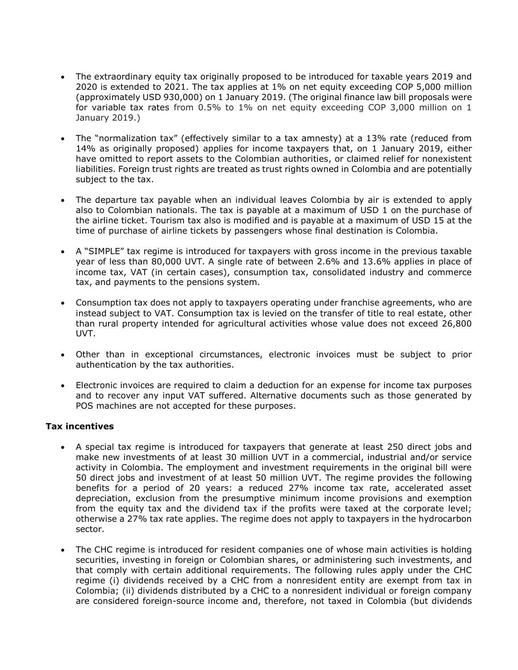- The extraordinary equity tax originally proposed to be introduced for taxable years 2019 and 2020 is extended to 2021. The tax applies at 1% on net equity exceeding COP 5,000 million (approximately USD 930,000) on 1 January 2019. (The original finance law bill proposals were for variable tax rates from 0.5% to 1% on net equity exceeding COP 3,000 million on 1 January 2019.)
- The "normalization tax" (effectively similar to a tax amnesty) at a 13% rate (reduced from 14% as originally proposed) applies for income taxpayers that, on 1 January 2019, either have omitted to report assets to the Colombian authorities, or claimed relief for nonexistent liabilities. Foreign trust rights are treated as trust rights owned in Colombia and are potentially subject to the tax.
- The departure tax payable when an individual leaves Colombia by air is extended to apply also to Colombian nationals. The tax is payable at a maximum of USD 1 on the purchase of the airline ticket. Tourism tax also is modified and is payable at a maximum of USD 15 at the time of purchase of airline tickets by passengers whose final destination is Colombia.
- A "SIMPLE" tax regime is introduced for taxpayers with gross income in the previous taxable year of less than 80,000 UVT. A single rate of between 2.6% and 13.6% applies in place of income tax, VAT (in certain cases), consumption tax, consolidated industry and commerce tax, and payments to the pensions system.
- Consumption tax does not apply to taxpayers operating under franchise agreements, who are instead subject to VAT. Consumption tax is levied on the transfer of title to real estate, other than rural property intended for agricultural activities whose value does not exceed 26,800 UVT.
- Other than in exceptional circumstances, electronic invoices must be subject to prior authentication by the tax authorities.
- Electronic invoices are required to claim a deduction for an expense for income tax purposes and to recover any input VAT suffered. Alternative documents such as those generated by POS machines are not accepted for these purposes.

## **Tax incentives**

- A special tax regime is introduced for taxpayers that generate at least 250 direct jobs and make new investments of at least 30 million UVT in a commercial, industrial and/or service activity in Colombia. The employment and investment requirements in the original bill were 50 direct jobs and investment of at least 50 million UVT. The regime provides the following benefits for a period of 20 years: a reduced 27% income tax rate, accelerated asset depreciation, exclusion from the presumptive minimum income provisions and exemption from the equity tax and the dividend tax if the profits were taxed at the corporate level; otherwise a 27% tax rate applies. The regime does not apply to taxpayers in the hydrocarbon sector.
- The CHC regime is introduced for resident companies one of whose main activities is holding securities, investing in foreign or Colombian shares, or administering such investments, and that comply with certain additional requirements. The following rules apply under the CHC regime (i) dividends received by a CHC from a nonresident entity are exempt from tax in Colombia; (ii) dividends distributed by a CHC to a nonresident individual or foreign company are considered foreign-source income and, therefore, not taxed in Colombia (but dividends